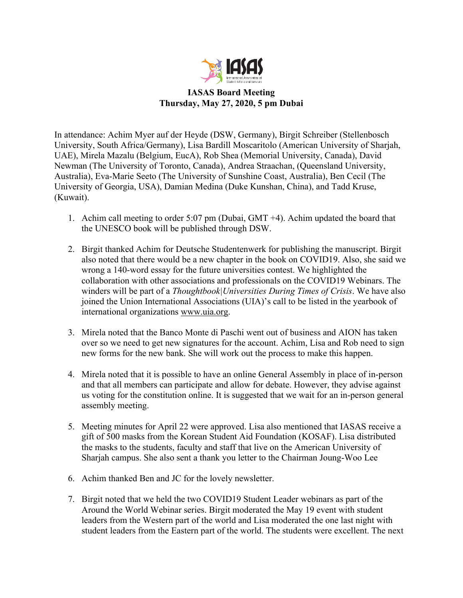

**IASAS Board Meeting Thursday, May 27, 2020, 5 pm Dubai** 

In attendance: Achim Myer auf der Heyde (DSW, Germany), Birgit Schreiber (Stellenbosch University, South Africa/Germany), Lisa Bardill Moscaritolo (American University of Sharjah, UAE), Mirela Mazalu (Belgium, EucA), Rob Shea (Memorial University, Canada), David Newman (The University of Toronto, Canada), Andrea Straachan, (Queensland University, Australia), Eva-Marie Seeto (The University of Sunshine Coast, Australia), Ben Cecil (The University of Georgia, USA), Damian Medina (Duke Kunshan, China), and Tadd Kruse, (Kuwait).

- 1. Achim call meeting to order 5:07 pm (Dubai, GMT +4). Achim updated the board that the UNESCO book will be published through DSW.
- 2. Birgit thanked Achim for Deutsche Studentenwerk for publishing the manuscript. Birgit also noted that there would be a new chapter in the book on COVID19. Also, she said we wrong a 140-word essay for the future universities contest. We highlighted the collaboration with other associations and professionals on the COVID19 Webinars. The winders will be part of a *Thoughtbook|Universities During Times of Crisis*. We have also joined the Union International Associations (UIA)'s call to be listed in the yearbook of international organizations www.uia.org.
- 3. Mirela noted that the Banco Monte di Paschi went out of business and AION has taken over so we need to get new signatures for the account. Achim, Lisa and Rob need to sign new forms for the new bank. She will work out the process to make this happen.
- 4. Mirela noted that it is possible to have an online General Assembly in place of in-person and that all members can participate and allow for debate. However, they advise against us voting for the constitution online. It is suggested that we wait for an in-person general assembly meeting.
- 5. Meeting minutes for April 22 were approved. Lisa also mentioned that IASAS receive a gift of 500 masks from the Korean Student Aid Foundation (KOSAF). Lisa distributed the masks to the students, faculty and staff that live on the American University of Sharjah campus. She also sent a thank you letter to the Chairman Joung-Woo Lee
- 6. Achim thanked Ben and JC for the lovely newsletter.
- 7. Birgit noted that we held the two COVID19 Student Leader webinars as part of the Around the World Webinar series. Birgit moderated the May 19 event with student leaders from the Western part of the world and Lisa moderated the one last night with student leaders from the Eastern part of the world. The students were excellent. The next